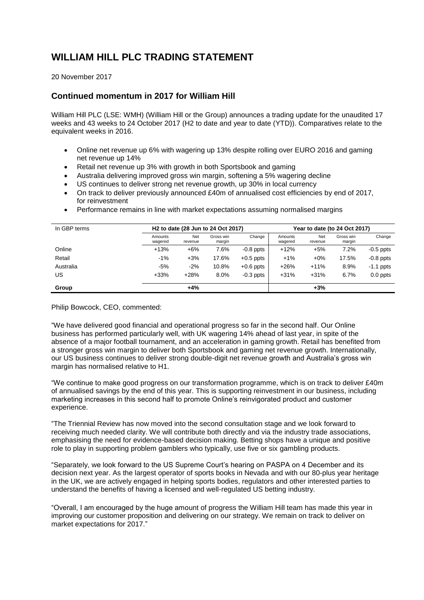# **WILLIAM HILL PLC TRADING STATEMENT**

20 November 2017

## **Continued momentum in 2017 for William Hill**

William Hill PLC (LSE: WMH) (William Hill or the Group) announces a trading update for the unaudited 17 weeks and 43 weeks to 24 October 2017 (H2 to date and year to date (YTD)). Comparatives relate to the equivalent weeks in 2016.

- Online net revenue up 6% with wagering up 13% despite rolling over EURO 2016 and gaming net revenue up 14%
- Retail net revenue up 3% with growth in both Sportsbook and gaming
- Australia delivering improved gross win margin, softening a 5% wagering decline
- US continues to deliver strong net revenue growth, up 30% in local currency
- On track to deliver previously announced £40m of annualised cost efficiencies by end of 2017. for reinvestment
- Performance remains in line with market expectations assuming normalised margins

| In GBP terms | H <sub>2</sub> to date (28 Jun to 24 Oct 2017) |                |                     |             | Year to date (to 24 Oct 2017) |                |                     |             |
|--------------|------------------------------------------------|----------------|---------------------|-------------|-------------------------------|----------------|---------------------|-------------|
|              | Amounts<br>wagered                             | Net<br>revenue | Gross win<br>margin | Change      | Amounts<br>wagered            | Net<br>revenue | Gross win<br>margin | Change      |
| Online       | $+13%$                                         | $+6%$          | 7.6%                | $-0.8$ ppts | $+12%$                        | $+5%$          | 7.2%                | $-0.5$ ppts |
| Retail       | $-1\%$                                         | $+3%$          | 17.6%               | $+0.5$ ppts | $+1%$                         | $+0\%$         | 17.5%               | $-0.8$ ppts |
| Australia    | $-5%$                                          | $-2%$          | 10.8%               | $+0.6$ ppts | $+26%$                        | $+11%$         | 8.9%                | $-1.1$ ppts |
| US           | $+33%$                                         | $+28%$         | 8.0%                | $-0.3$ ppts | $+31%$                        | $+31%$         | 6.7%                | $0.0$ ppts  |
| Group        |                                                | $+4%$          |                     |             |                               | $+3%$          |                     |             |

Philip Bowcock, CEO, commented:

"We have delivered good financial and operational progress so far in the second half. Our Online business has performed particularly well, with UK wagering 14% ahead of last year, in spite of the absence of a major football tournament, and an acceleration in gaming growth. Retail has benefited from a stronger gross win margin to deliver both Sportsbook and gaming net revenue growth. Internationally, our US business continues to deliver strong double-digit net revenue growth and Australia's gross win margin has normalised relative to H1.

"We continue to make good progress on our transformation programme, which is on track to deliver £40m of annualised savings by the end of this year. This is supporting reinvestment in our business, including marketing increases in this second half to promote Online's reinvigorated product and customer experience.

"The Triennial Review has now moved into the second consultation stage and we look forward to receiving much needed clarity. We will contribute both directly and via the industry trade associations, emphasising the need for evidence-based decision making. Betting shops have a unique and positive role to play in supporting problem gamblers who typically, use five or six gambling products.

"Separately, we look forward to the US Supreme Court's hearing on PASPA on 4 December and its decision next year. As the largest operator of sports books in Nevada and with our 80-plus year heritage in the UK, we are actively engaged in helping sports bodies, regulators and other interested parties to understand the benefits of having a licensed and well-regulated US betting industry.

"Overall, I am encouraged by the huge amount of progress the William Hill team has made this year in improving our customer proposition and delivering on our strategy. We remain on track to deliver on market expectations for 2017."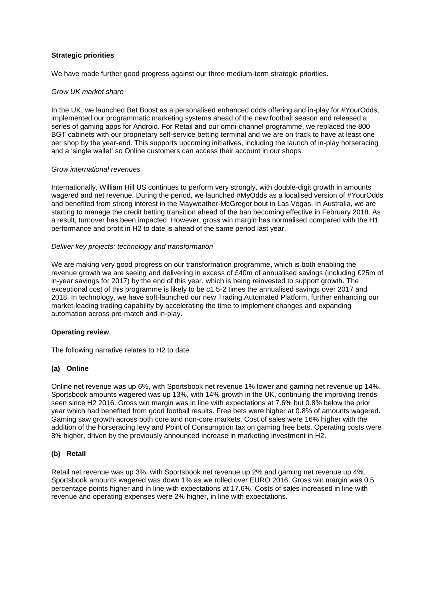## **Strategic priorities**

We have made further good progress against our three medium-term strategic priorities.

## *Grow UK market share*

In the UK, we launched Bet Boost as a personalised enhanced odds offering and in-play for #YourOdds, implemented our programmatic marketing systems ahead of the new football season and released a series of gaming apps for Android. For Retail and our omni-channel programme, we replaced the 800 BGT cabinets with our proprietary self-service betting terminal and we are on track to have at least one per shop by the year-end. This supports upcoming initiatives, including the launch of in-play horseracing and a 'single wallet' so Online customers can access their account in our shops.

#### *Grow international revenues*

Internationally, William Hill US continues to perform very strongly, with double-digit growth in amounts wagered and net revenue. During the period, we launched #MyOdds as a localised version of #YourOdds and benefited from strong interest in the Mayweather-McGregor bout in Las Vegas. In Australia, we are starting to manage the credit betting transition ahead of the ban becoming effective in February 2018. As a result, turnover has been impacted. However, gross win margin has normalised compared with the H1 performance and profit in H2 to date is ahead of the same period last year.

## *Deliver key projects: technology and transformation*

We are making very good progress on our transformation programme, which is both enabling the revenue growth we are seeing and delivering in excess of £40m of annualised savings (including £25m of in-year savings for 2017) by the end of this year, which is being reinvested to support growth. The exceptional cost of this programme is likely to be c1.5-2 times the annualised savings over 2017 and 2018. In technology, we have soft-launched our new Trading Automated Platform, further enhancing our market-leading trading capability by accelerating the time to implement changes and expanding automation across pre-match and in-play.

## **Operating review**

The following narrative relates to H2 to date.

## **(a) Online**

Online net revenue was up 6%, with Sportsbook net revenue 1% lower and gaming net revenue up 14%. Sportsbook amounts wagered was up 13%, with 14% growth in the UK, continuing the improving trends seen since H2 2016. Gross win margin was in line with expectations at 7.6% but 0.8% below the prior year which had benefited from good football results. Free bets were higher at 0.8% of amounts wagered. Gaming saw growth across both core and non-core markets. Cost of sales were 16% higher with the addition of the horseracing levy and Point of Consumption tax on gaming free bets. Operating costs were 8% higher, driven by the previously announced increase in marketing investment in H2.

## **(b) Retail**

Retail net revenue was up 3%, with Sportsbook net revenue up 2% and gaming net revenue up 4%. Sportsbook amounts wagered was down 1% as we rolled over EURO 2016. Gross win margin was 0.5 percentage points higher and in line with expectations at 17.6%. Costs of sales increased in line with revenue and operating expenses were 2% higher, in line with expectations.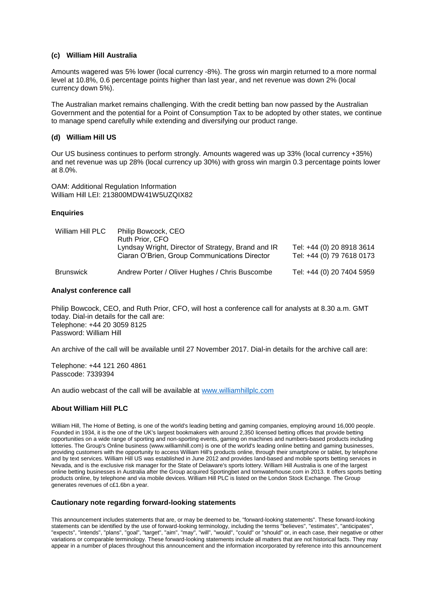#### **(c) William Hill Australia**

Amounts wagered was 5% lower (local currency -8%). The gross win margin returned to a more normal level at 10.8%, 0.6 percentage points higher than last year, and net revenue was down 2% (local currency down 5%).

The Australian market remains challenging. With the credit betting ban now passed by the Australian Government and the potential for a Point of Consumption Tax to be adopted by other states, we continue to manage spend carefully while extending and diversifying our product range.

#### **(d) William Hill US**

Our US business continues to perform strongly. Amounts wagered was up 33% (local currency +35%) and net revenue was up 28% (local currency up 30%) with gross win margin 0.3 percentage points lower at 8.0%.

OAM: Additional Regulation Information William Hill LEI: 213800MDW41W5UZQIX82

## **Enquiries**

| William Hill PLC | Philip Bowcock, CEO<br>Ruth Prior, CFO<br>Lyndsay Wright, Director of Strategy, Brand and IR<br>Ciaran O'Brien, Group Communications Director | Tel: +44 (0) 20 8918 3614<br>Tel: +44 (0) 79 7618 0173 |
|------------------|-----------------------------------------------------------------------------------------------------------------------------------------------|--------------------------------------------------------|
| <b>Brunswick</b> | Andrew Porter / Oliver Hughes / Chris Buscombe                                                                                                | Tel: +44 (0) 20 7404 5959                              |

#### **Analyst conference call**

Philip Bowcock, CEO, and Ruth Prior, CFO, will host a conference call for analysts at 8.30 a.m. GMT today. Dial-in details for the call are: Telephone: +44 20 3059 8125 Password: William Hill

An archive of the call will be available until 27 November 2017. Dial-in details for the archive call are:

Telephone: +44 121 260 4861 Passcode: 7339394

An audio webcast of the call will be available at [www.williamhillplc.com](http://www.williamhillplc.com/)

## **About William Hill PLC**

William Hill, The Home of Betting, is one of the world's leading betting and gaming companies, employing around 16,000 people. Founded in 1934, it is the one of the UK's largest bookmakers with around 2,350 licensed betting offices that provide betting opportunities on a wide range of sporting and non-sporting events, gaming on machines and numbers-based products including lotteries. The Group's Online business (www.williamhill.com) is one of the world's leading online betting and gaming businesses, providing customers with the opportunity to access William Hill's products online, through their smartphone or tablet, by telephone and by text services. William Hill US was established in June 2012 and provides land-based and mobile sports betting services in Nevada, and is the exclusive risk manager for the State of Delaware's sports lottery. William Hill Australia is one of the largest online betting businesses in Australia after the Group acquired Sportingbet and tomwaterhouse.com in 2013. It offers sports betting products online, by telephone and via mobile devices. William Hill PLC is listed on the London Stock Exchange. The Group generates revenues of c£1.6bn a year.

#### **Cautionary note regarding forward-looking statements**

This announcement includes statements that are, or may be deemed to be, "forward-looking statements". These forward-looking statements can be identified by the use of forward-looking terminology, including the terms "believes", "estimates", "anticipates", "expects", "intends", "plans", "goal", "target", "aim", "may", "will", "would", "could" or "should" or, in each case, their negative or other variations or comparable terminology. These forward-looking statements include all matters that are not historical facts. They may appear in a number of places throughout this announcement and the information incorporated by reference into this announcement